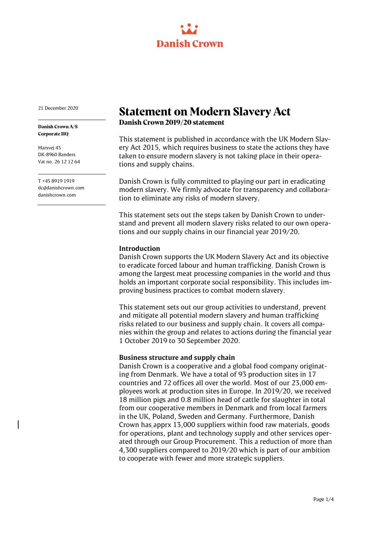

21 December 2020

**Danish Crown A/S Corporate HQ**

Marsvej 43 DK-8960 Randers Vat no. 26 12 12 64

T +45 8919 1919 dc@danishcrown.com danishcrown.com

# **Statement on Modern Slavery Act**

**Danish Crown 2019/20 statement**

This statement is published in accordance with the UK Modern Slavery Act 2015, which requires business to state the actions they have taken to ensure modern slavery is not taking place in their operations and supply chains.

Danish Crown is fully committed to playing our part in eradicating modern slavery. We firmly advocate for transparency and collaboration to eliminate any risks of modern slavery.

This statement sets out the steps taken by Danish Crown to understand and prevent all modern slavery risks related to our own operations and our supply chains in our financial year 2019/20.

#### **Introduction**

Danish Crown supports the UK Modern Slavery Act and its objective to eradicate forced labour and human trafficking. Danish Crown is among the largest meat processing companies in the world and thus holds an important corporate social responsibility. This includes improving business practices to combat modern slavery.

This statement sets out our group activities to understand, prevent and mitigate all potential modern slavery and human trafficking risks related to our business and supply chain. It covers all companies within the group and relates to actions during the financial year 1 October 2019 to 30 September 2020.

#### **Business structure and supply chain**

Danish Crown is a cooperative and a global food company originating from Denmark. We have a total of 93 production sites in 17 countries and 72 offices all over the world. Most of our 23,000 employees work at production sites in Europe. In 2019/20, we received 18 million pigs and 0.8 million head of cattle for slaughter in total from our cooperative members in Denmark and from local farmers in the UK, Poland, Sweden and Germany. Furthermore, Danish Crown has apprx 13,000 suppliers within food raw materials, goods for operations, plant and technology supply and other services operated through our Group Procurement. This a reduction of more than 4,300 suppliers compared to 2019/20 which is part of our ambition to cooperate with fewer and more strategic suppliers.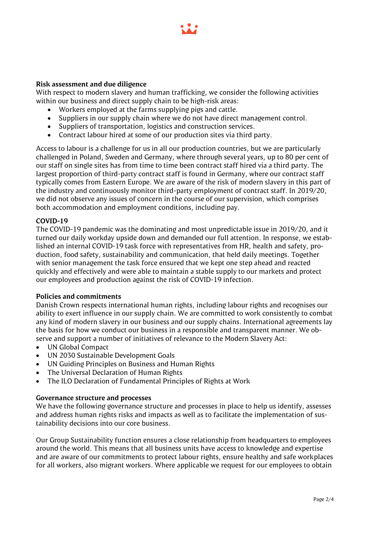

## **Risk assessment and due diligence**

With respect to modern slavery and human trafficking, we consider the following activities within our business and direct supply chain to be high-risk areas:

- Workers employed at the farms supplying pigs and cattle.
- Suppliers in our supply chain where we do not have direct management control.
- Suppliers of transportation, logistics and construction services.
- Contract labour hired at some of our production sites via third party.

Access to labour is a challenge for us in all our production countries, but we are particularly challenged in Poland, Sweden and Germany, where through several years, up to 80 per cent of our staff on single sites has from time to time been contract staff hired via a third party. The largest proportion of third-party contract staff is found in Germany, where our contract staff typically comes from Eastern Europe. We are aware of the risk of modern slavery in this part of the industry and continuously monitor third-party employment of contract staff. In 2019/20, we did not observe any issues of concern in the course of our supervision, which comprises both accommodation and employment conditions, including pay.

## **COVID-19**

The COVID-19 pandemic was the dominating and most unpredictable issue in 2019/20, and it turned our daily workday upside down and demanded our full attention. In response, we established an internal COVID-19 task force with representatives from HR, health and safety, production, food safety, sustainability and communication, that held daily meetings. Together with senior management the task force ensured that we kept one step ahead and reacted quickly and effectively and were able to maintain a stable supply to our markets and protect our employees and production against the risk of COVID-19 infection.

#### **Policies and commitments**

Danish Crown respects international human rights, including labour rights and recognises our ability to exert influence in our supply chain. We are committed to work consistently to combat any kind of modern slavery in our business and our supply chains. International agreements lay the basis for how we conduct our business in a responsible and transparent manner. We observe and support a number of initiatives of relevance to the Modern Slavery Act:

- UN Global Compact
- UN 2030 Sustainable Development Goals
- UN Guiding Principles on Business and Human Rights
- The Universal Declaration of Human Rights
- The ILO Declaration of Fundamental Principles of Rights at Work

#### **Governance structure and processes**

We have the following governance structure and processes in place to help us identify, assesses and address human rights risks and impacts as well as to facilitate the implementation of sustainability decisions into our core business.

Our Group Sustainability function ensures a close relationship from headquarters to employees around the world. This means that all business units have access to knowledge and expertise and are aware of our commitments to protect labour rights, ensure healthy and safe workplaces for all workers, also migrant workers. Where applicable we request for our employees to obtain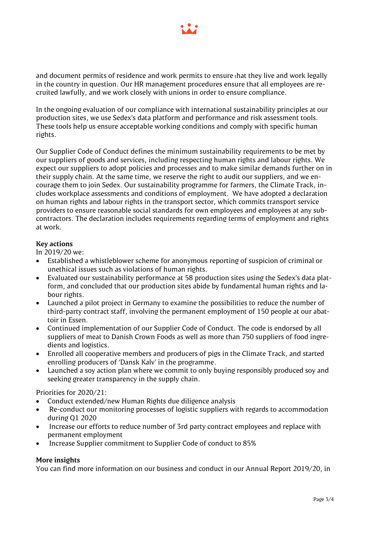

and document permits of residence and work permits to ensure that they live and work legally in the country in question. Our HR management procedures ensure that all employees are recruited lawfully, and we work closely with unions in order to ensure compliance.

In the ongoing evaluation of our compliance with international sustainability principles at our production sites, we use Sedex's data platform and performance and risk assessment tools. These tools help us ensure acceptable working conditions and comply with specific human rights.

Our Supplier Code of Conduct defines the minimum sustainability requirements to be met by our suppliers of goods and services, including respecting human rights and labour rights. We expect our suppliers to adopt policies and processes and to make similar demands further on in their supply chain. At the same time, we reserve the right to audit our suppliers, and we encourage them to join Sedex. Our sustainability programme for farmers, the Climate Track, includes workplace assessments and conditions of employment. We have adopted a declaration on human rights and labour rights in the transport sector, which commits transport service providers to ensure reasonable social standards for own employees and employees at any subcontractors. The declaration includes requirements regarding terms of employment and rights at work.

# **Key actions**

In 2019/20 we:

- Established a whistleblower scheme for anonymous reporting of suspicion of criminal or unethical issues such as violations of human rights.
- Evaluated our sustainability performance at 58 production sites using the Sedex's data platform, and concluded that our production sites abide by fundamental human rights and labour rights.
- Launched a pilot project in Germany to examine the possibilities to reduce the number of third-party contract staff, involving the permanent employment of 150 people at our abattoir in Essen.
- Continued implementation of our Supplier Code of Conduct. The code is endorsed by all suppliers of meat to Danish Crown Foods as well as more than 750 suppliers of food ingredients and logistics.
- Enrolled all cooperative members and producers of pigs in the Climate Track, and started enrolling producers of 'Dansk Kalv' in the programme.
- Launched a soy action plan where we commit to only buying responsibly produced soy and seeking greater transparency in the supply chain.

Priorities for 2020/21:

- Conduct extended/new Human Rights due diligence analysis
- Re-conduct our monitoring processes of logistic suppliers with regards to accommodation during Q1 2020
- Increase our efforts to reduce number of 3rd party contract employees and replace with permanent employment
- Increase Supplier commitment to Supplier Code of conduct to 85%

## **More insights**

You can find more information on our business and conduct in our Annual Report 2019/20, in